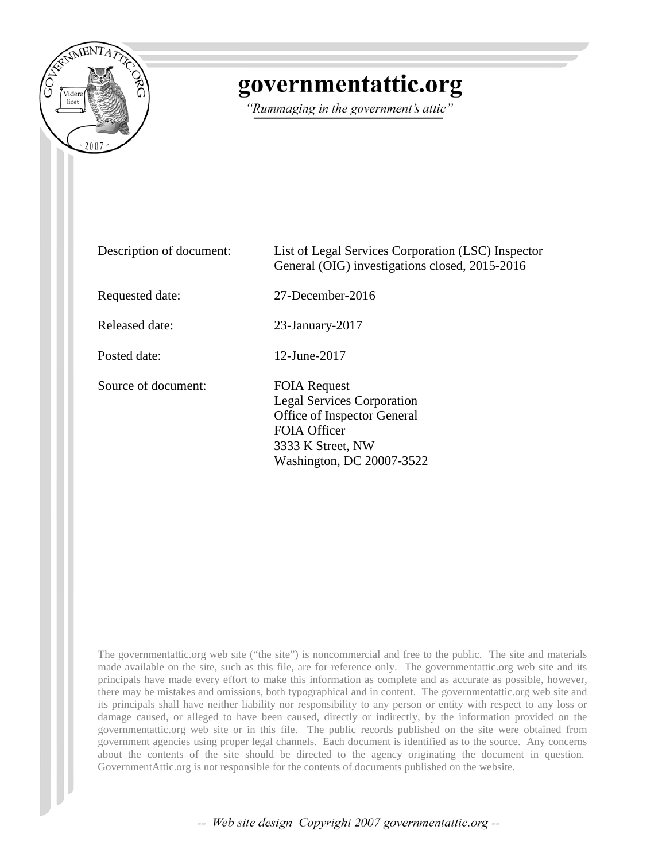

## governmentattic.org

"Rummaging in the government's attic"

| Description of document: | List of Legal Services Corporation (LSC) Inspector<br>General (OIG) investigations closed, 2015-2016                                                             |
|--------------------------|------------------------------------------------------------------------------------------------------------------------------------------------------------------|
| Requested date:          | $27$ -December-2016                                                                                                                                              |
| Released date:           | $23$ -January- $2017$                                                                                                                                            |
| Posted date:             | 12-June-2017                                                                                                                                                     |
| Source of document:      | <b>FOIA Request</b><br><b>Legal Services Corporation</b><br>Office of Inspector General<br><b>FOIA Officer</b><br>3333 K Street, NW<br>Washington, DC 20007-3522 |

The governmentattic.org web site ("the site") is noncommercial and free to the public. The site and materials made available on the site, such as this file, are for reference only. The governmentattic.org web site and its principals have made every effort to make this information as complete and as accurate as possible, however, there may be mistakes and omissions, both typographical and in content. The governmentattic.org web site and its principals shall have neither liability nor responsibility to any person or entity with respect to any loss or damage caused, or alleged to have been caused, directly or indirectly, by the information provided on the governmentattic.org web site or in this file. The public records published on the site were obtained from government agencies using proper legal channels. Each document is identified as to the source. Any concerns about the contents of the site should be directed to the agency originating the document in question. GovernmentAttic.org is not responsible for the contents of documents published on the website.

-- Web site design Copyright 2007 governmentattic.org --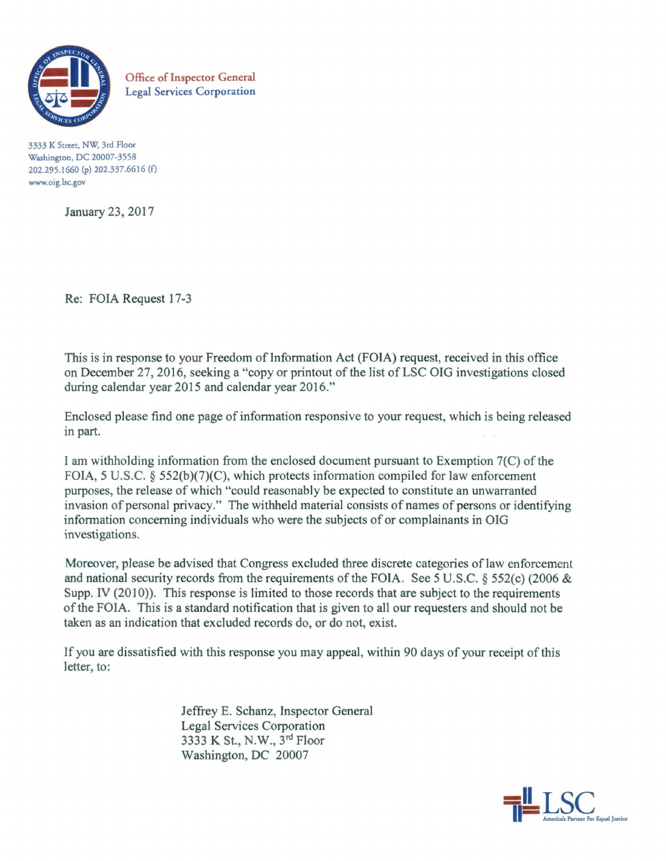

Office of Inspector General Legal Services Corporation

3333 K Street, NW; 3rd Floor Washington, DC 20007-3558 202.295.1660 (p) 202.337.6616 (f) www.oig.lsc.gov

January 23, 2017

Re: FOIA Request 17-3

This is in response to your Freedom of Information Act (FOIA) request, received in this office on December 27, 2016, seeking a "copy or printout of the list of LSC OIG investigations closed during calendar year 2015 and calendar year 2016."

Enclosed please find one page of information responsive to your request, which is being released in part.

I am withholding information from the enclosed document pursuant to Exemption 7(C) of the FOIA, 5 U.S.C. § 552(b)(7)(C), which protects information compiled for law enforcement purposes, the release of which "could reasonably be expected to constitute an unwarranted invasion of personal privacy." The withheld material consists of names of persons or identifying information concerning individuals who were the subjects of or complainants in OIG investigations.

Moreover, please be advised that Congress excluded three discrete categories of law enforcement and national security records from the requirements of the FOIA. See 5 U.S.C. § 552(c) (2006 & Supp. IV (2010)). This response is limited to those records that are subject to the requirements of the FOIA. This is a standard notification that is given to all our requesters and should not be taken as an indication that excluded records do, or do not, exist.

If you are dissatisfied with this response you may appeal, within 90 days of your receipt of this letter, to:

> Jeffrey E. Schanz, Inspector General Legal Services Corporation 3333 K St., N.W., 3<sup>rd</sup> Floor Washington, DC 20007

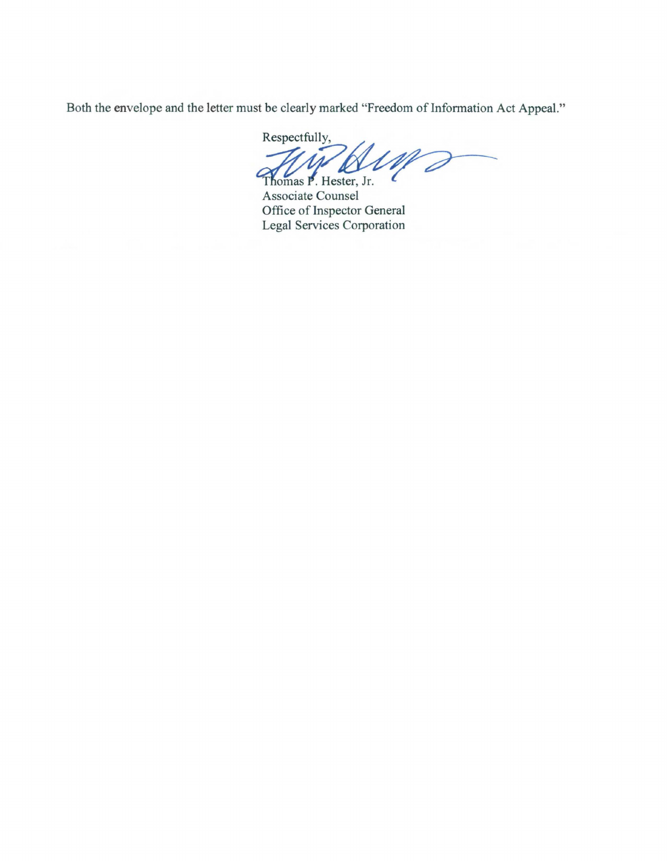Both the envelope and the letter must be clearly marked "Freedom of Information Act Appeal."

Respectfully,  $\mathscr{W}$ 

Thomas P. Hester, Jr. Associate Counsel Office of Inspector General Legal Services Corporation